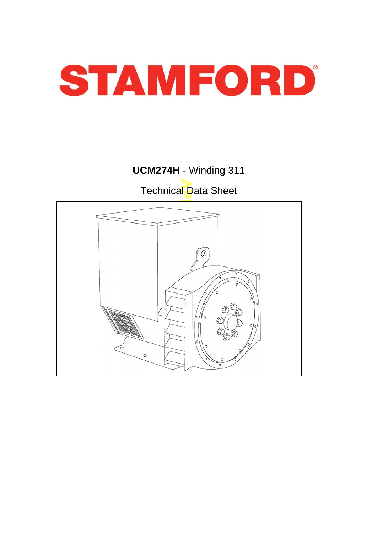

# **UCM274H** - Winding 311 Technical Data Sheet

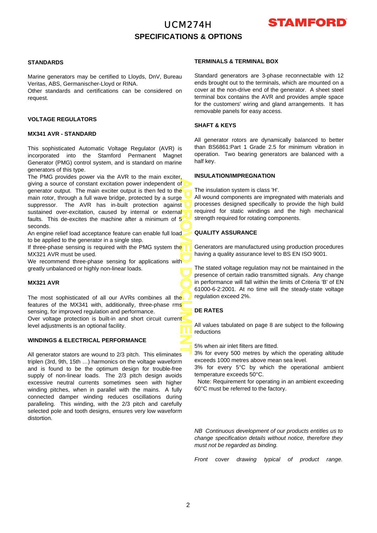## UCM274H **SPECIFICATIONS & OPTIONS**



### **STANDARDS**

Marine generators may be certified to Lloyds, DnV, Bureau Veritas, ABS, Germanischer-Lloyd or RINA.

Other standards and certifications can be considered on request.

### **VOLTAGE REGULATORS**

### **MX341 AVR - STANDARD**

This sophisticated Automatic Voltage Regulator (AVR) is incorporated into the Stamford Permanent Magnet Generator (PMG) control system, and is standard on marine generators of this type.

APPROVED DOCUMENT The PMG provides power via the AVR to the main exciter, giving a source of constant excitation power independent o f generator output. The main exciter output is then fed to the main rotor, through a full wave bridge, protected by a surge suppressor. The AVR has in-built protection against sustained over-excitation, caused by internal or external faults. This de-excites the machine after a minimum of  $5'$ seconds.

An engine relief load acceptance feature can enable full load to be applied to the generator in a single step.

If three-phase sensing is required with the PMG system the MX321 AVR must be used.

We recommend three-phase sensing for applications with greatly unbalanced or highly non-linear loads.

### **MX321 AVR**

The most sophisticated of all our AVRs combines all the features of the MX341 with, additionally, three-phase rms sensing, for improved regulation and performance. Over voltage protection is built-in and short circuit current level adjustments is an optional facility.

#### **WINDINGS & ELECTRICAL PERFORMANCE**

All generator stators are wound to 2/3 pitch. This eliminates triplen (3rd, 9th, 15th …) harmonics on the voltage waveform and is found to be the optimum design for trouble-free supply of non-linear loads. The 2/3 pitch design avoids excessive neutral currents sometimes seen with higher winding pitches, when in parallel with the mains. A fully connected damper winding reduces oscillations during paralleling. This winding, with the 2/3 pitch and carefully selected pole and tooth designs, ensures very low waveform distortion.

### **TERMINALS & TERMINAL BOX**

Standard generators are 3-phase reconnectable with 12 ends brought out to the terminals, which are mounted on a cover at the non-drive end of the generator. A sheet steel terminal box contains the AVR and provides ample space for the customers' wiring and gland arrangements. It has removable panels for easy access.

#### **SHAFT & KEYS**

All generator rotors are dynamically balanced to better than BS6861:Part 1 Grade 2.5 for minimum vibration in operation. Two bearing generators are balanced with a half key.

### **INSULATION/IMPREGNATION**

The insulation system is class 'H'.

All wound components are impregnated with materials and processes designed specifically to provide the high build required for static windings and the high mechanical strength required for rotating components.

### **QUALITY ASSURANCE**

Generators are manufactured using production procedures having a quality assurance level to BS EN ISO 9001.

The stated voltage regulation may not be maintained in the presence of certain radio transmitted signals. Any change in performance will fall within the limits of Criteria 'B' of EN 61000-6-2:2001. At no time will the steady-state voltage regulation exceed 2%.

### **DE RATES**

All values tabulated on page 8 are subject to the following reductions

5% when air inlet filters are fitted.

3% for every 500 metres by which the operating altitude exceeds 1000 metres above mean sea level.

3% for every 5°C by which the operational ambient temperature exceeds 50°C.

Note: Requirement for operating in an ambient exceeding 60°C must be referred to the factory.

*NB Continuous development of our products entitles us to change specification details without notice, therefore they must not be regarded as binding.* 

*Front cover drawing typical of product range.*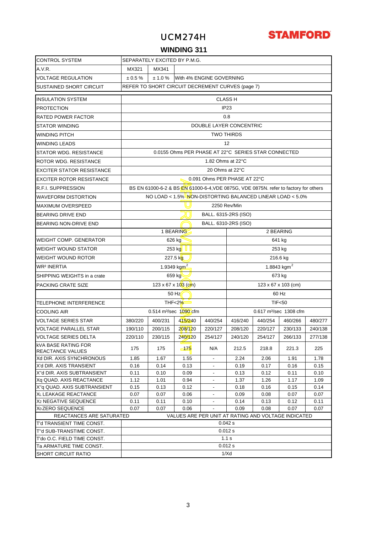## UCM274H



### **WINDING 311**

| <b>CONTROL SYSTEM</b>                               | SEPARATELY EXCITED BY P.M.G.            |                   |                                                                                      |                                                      |                                    |              |              |              |  |  |
|-----------------------------------------------------|-----------------------------------------|-------------------|--------------------------------------------------------------------------------------|------------------------------------------------------|------------------------------------|--------------|--------------|--------------|--|--|
| A.V.R.                                              | MX321                                   | MX341             |                                                                                      |                                                      |                                    |              |              |              |  |  |
| <b>VOLTAGE REGULATION</b>                           | ± 0.5%                                  | ± 1.0 %           |                                                                                      | With 4% ENGINE GOVERNING                             |                                    |              |              |              |  |  |
| SUSTAINED SHORT CIRCUIT                             |                                         |                   | REFER TO SHORT CIRCUIT DECREMENT CURVES (page 7)                                     |                                                      |                                    |              |              |              |  |  |
|                                                     |                                         |                   |                                                                                      |                                                      |                                    |              |              |              |  |  |
| <b>INSULATION SYSTEM</b>                            |                                         |                   |                                                                                      |                                                      | <b>CLASS H</b>                     |              |              |              |  |  |
| <b>PROTECTION</b>                                   |                                         |                   |                                                                                      |                                                      | IP <sub>23</sub>                   |              |              |              |  |  |
| <b>RATED POWER FACTOR</b>                           |                                         | 0.8               |                                                                                      |                                                      |                                    |              |              |              |  |  |
| <b>STATOR WINDING</b>                               |                                         |                   |                                                                                      |                                                      | <b>DOUBLE LAYER CONCENTRIC</b>     |              |              |              |  |  |
| <b>WINDING PITCH</b>                                |                                         | <b>TWO THIRDS</b> |                                                                                      |                                                      |                                    |              |              |              |  |  |
| <b>WINDING LEADS</b>                                |                                         |                   |                                                                                      |                                                      | 12                                 |              |              |              |  |  |
| STATOR WDG. RESISTANCE                              |                                         |                   | 0.0155 Ohms PER PHASE AT 22°C SERIES STAR CONNECTED                                  |                                                      |                                    |              |              |              |  |  |
| <b>ROTOR WDG. RESISTANCE</b>                        |                                         |                   |                                                                                      | 1.82 Ohms at 22°C                                    |                                    |              |              |              |  |  |
| <b>EXCITER STATOR RESISTANCE</b>                    |                                         |                   |                                                                                      | 20 Ohms at 22°C                                      |                                    |              |              |              |  |  |
| <b>EXCITER ROTOR RESISTANCE</b>                     |                                         |                   |                                                                                      |                                                      | 0.091 Ohms PER PHASE AT 22°C       |              |              |              |  |  |
| R.F.I. SUPPRESSION                                  |                                         |                   | BS EN 61000-6-2 & BS EN 61000-6-4, VDE 0875G, VDE 0875N. refer to factory for others |                                                      |                                    |              |              |              |  |  |
| <b>WAVEFORM DISTORTION</b>                          |                                         |                   | NO LOAD < 1.5% NON-DISTORTING BALANCED LINEAR LOAD < 5.0%                            |                                                      |                                    |              |              |              |  |  |
| <b>MAXIMUM OVERSPEED</b>                            |                                         |                   |                                                                                      |                                                      | 2250 Rev/Min                       |              |              |              |  |  |
| <b>BEARING DRIVE END</b>                            |                                         |                   |                                                                                      |                                                      | BALL. 6315-2RS (ISO)               |              |              |              |  |  |
| BEARING NON-DRIVE END                               |                                         |                   |                                                                                      |                                                      | BALL. 6310-2RS (ISO)               |              |              |              |  |  |
|                                                     |                                         |                   | 1 BEARING                                                                            |                                                      |                                    |              | 2 BEARING    |              |  |  |
| <b>WEIGHT COMP. GENERATOR</b>                       |                                         |                   | 626 kg                                                                               |                                                      |                                    |              | 641 kg       |              |  |  |
| <b>WEIGHT WOUND STATOR</b>                          |                                         |                   | 253 kg                                                                               |                                                      | 253 kg                             |              |              |              |  |  |
| <b>WEIGHT WOUND ROTOR</b>                           |                                         |                   | 227.5 kg                                                                             |                                                      | 216.6 kg                           |              |              |              |  |  |
| <b>WR<sup>2</sup> INERTIA</b>                       |                                         |                   | 1.9349 kgm <sup>2</sup>                                                              |                                                      | 1.8843 kgm <sup>2</sup>            |              |              |              |  |  |
|                                                     |                                         |                   |                                                                                      |                                                      |                                    |              |              |              |  |  |
| SHIPPING WEIGHTS in a crate                         | 659 kg<br>673 kg<br>123 x 67 x 103 (cm) |                   |                                                                                      |                                                      |                                    |              |              |              |  |  |
| PACKING CRATE SIZE                                  |                                         |                   | $123 \times 67 \times 103$ (cm)                                                      |                                                      |                                    |              |              |              |  |  |
|                                                     |                                         |                   | 50 Hz                                                                                |                                                      | 60 Hz                              |              |              |              |  |  |
| <b>TELEPHONE INTERFERENCE</b>                       |                                         |                   | <b>THF&lt;2%</b>                                                                     |                                                      | <b>TIF&lt;50</b>                   |              |              |              |  |  |
| <b>COOLING AIR</b>                                  |                                         |                   | 0.514 $m^3$ /sec $1090$ cfm                                                          |                                                      | 0.617 m <sup>3</sup> /sec 1308 cfm |              |              |              |  |  |
| <b>VOLTAGE SERIES STAR</b>                          | 380/220                                 | 400/231           | 415/240                                                                              | 440/254                                              | 416/240                            | 440/254      | 460/266      | 480/277      |  |  |
| <b>VOLTAGE PARALLEL STAR</b>                        | 190/110                                 | 200/115           | 208/120                                                                              | 220/127                                              | 208/120                            | 220/127      | 230/133      | 240/138      |  |  |
| VOLTAGE SERIES DELTA                                | 220/110                                 | 230/115           | 240/120                                                                              | 254/127                                              | 240/120                            | 254/127      | 266/133      | 277/138      |  |  |
| <b>KVA BASE RATING FOR</b><br>REACTANCE VALUES      | 175                                     | 175               | $-175$                                                                               | N/A                                                  | 212.5                              | 218.8        | 221.3        | 225          |  |  |
| Xd DIR. AXIS SYNCHRONOUS                            | 1.85                                    | 1.67              | 1.55                                                                                 | $\overline{\phantom{a}}$                             | 2.24                               | 2.06         | 1.91         | 1.78         |  |  |
| X'd DIR. AXIS TRANSIENT                             | 0.16                                    | 0.14              | 0.13                                                                                 | $\overline{\phantom{a}}$                             | 0.19                               | 0.17         | 0.16         | 0.15         |  |  |
| X"d DIR. AXIS SUBTRANSIENT                          | 0.11                                    | 0.10              | 0.09                                                                                 | ۰                                                    | 0.13                               | 0.12         | 0.11         | 0.10         |  |  |
| Xq QUAD, AXIS REACTANCE                             | 1.12                                    | 1.01              | 0.94                                                                                 | ۰                                                    | 1.37                               | 1.26         | 1.17         | 1.09         |  |  |
| X"q QUAD. AXIS SUBTRANSIENT<br>XL LEAKAGE REACTANCE | 0.15<br>0.07                            | 0.13<br>0.07      | 0.12<br>0.06                                                                         | $\overline{\phantom{a}}$<br>$\overline{\phantom{a}}$ | 0.18<br>0.09                       | 0.16<br>0.08 | 0.15<br>0.07 | 0.14<br>0.07 |  |  |
| X <sub>2</sub> NEGATIVE SEQUENCE                    | 0.11                                    | 0.11              | 0.10                                                                                 |                                                      | 0.14                               | 0.13         | 0.12         | 0.11         |  |  |
| X <sub>0</sub> ZERO SEQUENCE                        | 0.07                                    | 0.07              | 0.06                                                                                 |                                                      | 0.09                               | 0.08         | 0.07         | 0.07         |  |  |
| REACTANCES ARE SATURATED                            |                                         |                   | VALUES ARE PER UNIT AT RATING AND VOLTAGE INDICATED                                  |                                                      |                                    |              |              |              |  |  |
| T'd TRANSIENT TIME CONST.                           |                                         |                   |                                                                                      |                                                      | 0.042 s                            |              |              |              |  |  |
| T"d SUB-TRANSTIME CONST.                            |                                         |                   |                                                                                      |                                                      | 0.012 s                            |              |              |              |  |  |
| T'do O.C. FIELD TIME CONST.                         |                                         |                   |                                                                                      |                                                      | 1.1 s                              |              |              |              |  |  |
| Ta ARMATURE TIME CONST.                             | 0.012 s                                 |                   |                                                                                      |                                                      |                                    |              |              |              |  |  |
|                                                     |                                         |                   |                                                                                      |                                                      |                                    |              |              |              |  |  |
| <b>SHORT CIRCUIT RATIO</b>                          |                                         |                   |                                                                                      |                                                      | 1/Xd                               |              |              |              |  |  |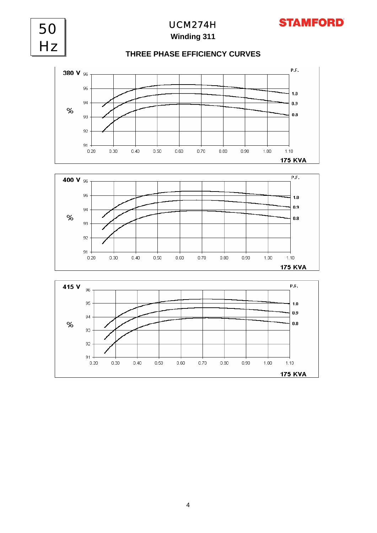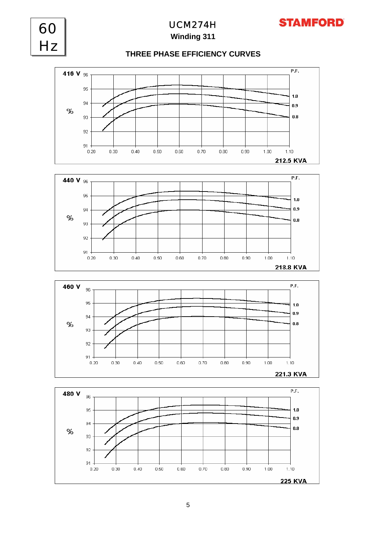

**STAMFORD** 

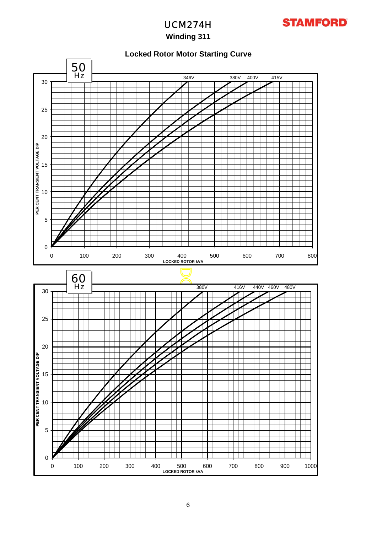

UCM274H **Winding 311**

### **Locked Rotor Motor Starting Curve**

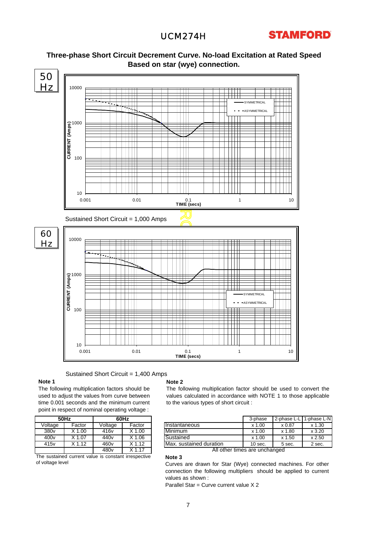### UCM274H





# **Three-phase Short Circuit Decrement Curve. No-load Excitation at Rated Speed**

Sustained Short Circuit = 1,400 Amps

#### **Note 1**

The following multiplication factors should be used to adjust the values from curve between time 0.001 seconds and the minimum current point in respect of nominal operating voltage :

|                  | <b>50Hz</b>                                              |                  | 60Hz     |  |  |  |  |  |  |
|------------------|----------------------------------------------------------|------------------|----------|--|--|--|--|--|--|
| Voltage          | Factor                                                   | Voltage          | Factor   |  |  |  |  |  |  |
| 380v             | $X$ 1.00                                                 | 416v             | $X$ 1.00 |  |  |  |  |  |  |
| 400 <sub>v</sub> | X 1.07                                                   |                  | $X$ 1.06 |  |  |  |  |  |  |
| 415 <sub>v</sub> | $X$ 1.12                                                 | 460 <sub>v</sub> | $X$ 1.12 |  |  |  |  |  |  |
|                  |                                                          | 480 <sub>v</sub> | $X$ 1.17 |  |  |  |  |  |  |
|                  | The eustained<br>survent unlus in constant irroganactive |                  |          |  |  |  |  |  |  |

The sustained current value is constant irrespective of voltage level

#### **Note 2**

**Note 3**

The following multiplication factor should be used to convert the values calculated in accordance with NOTE 1 to those applicable to the various types of short circuit :

| 50Hz<br>60Hz     |        |                  | 3-phase | 2-phase L-L             | . 1-phase L-N |        |        |
|------------------|--------|------------------|---------|-------------------------|---------------|--------|--------|
| Voltage          | Factor | Voltage          | Factor  | <b>Instantaneous</b>    | .00<br>x 1    | x 0.87 | x 1.30 |
| 380 <sub>v</sub> | 1.00   | 416 <sub>v</sub> | .00     | Minimum                 | .00<br>x 1    | x 1.80 | x3.20  |
| 400 <sub>v</sub> | 1.07   | 440v             | .06     | Sustained               | .00<br>x 1    | x 1.50 | x 2.50 |
| 415 <sub>v</sub> | 1.12   | 460 <sub>v</sub> | .12     | Max. sustained duration | $10$ sec.     | 5 sec. | 2 sec. |

All other times are unchanged

Curves are drawn for Star (Wye) connected machines. For othe r connection the following multipliers should be applied to current values as shown :

Parallel Star = Curve current value X 2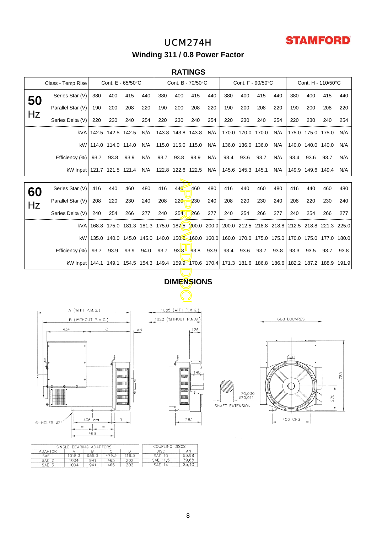# **STAMFORD**

## UCM274H **Winding 311 / 0.8 Power Factor**

### **RATINGS**

|    | Class - Temp Rise                                                                                        | Cont. E - 65/50°C |                   |      |                 | Cont. B - 70/50°C     |                    |           | Cont. F - 90/50°C |                                                                                                 |                   |      | Cont. H - 110/50°C |             |                   |      |      |
|----|----------------------------------------------------------------------------------------------------------|-------------------|-------------------|------|-----------------|-----------------------|--------------------|-----------|-------------------|-------------------------------------------------------------------------------------------------|-------------------|------|--------------------|-------------|-------------------|------|------|
| 50 | Series Star (V)                                                                                          | 380               | 400               | 415  | 440             | 380                   | 400                | 415       | 440               | 380                                                                                             | 400               | 415  | 440                | 380         | 400               | 415  | 440  |
|    | Parallel Star (V)                                                                                        | 190               | 200               | 208  | 220             | 190                   | 200                | 208       | 220               | 190                                                                                             | 200               | 208  | 220                | 190         | 200               | 208  | 220  |
| Hz | Series Delta (V)                                                                                         | 220               | 230               | 240  | 254             | 220                   | 230                | 240       | 254               | 220                                                                                             | 230               | 240  | 254                | 220         | 230               | 240  | 254  |
|    | kVA.                                                                                                     |                   | 142.5 142.5 142.5 |      | N/A             |                       | 143.8 143.8 143.8  |           | N/A               |                                                                                                 | 170.0 170.0 170.0 |      | N/A                |             | 175.0 175.0 175.0 |      | N/A  |
|    | kW                                                                                                       |                   | 114.0 114.0 114.0 |      | N/A             |                       | 115.0 115.0 115.0  |           | N/A               |                                                                                                 | 136.0 136.0 136.0 |      | N/A                |             | 140.0 140.0 140.0 |      | N/A  |
|    | Efficiency (%)                                                                                           | 93.7              | 93.8              | 93.9 | N/A             | 93.7                  | 93.8               | 93.9      | N/A               | 93.4                                                                                            | 93.6              | 93.7 | N/A                | 93.4        | 93.6              | 93.7 | N/A  |
|    | kW Input 121.7 121.5 121.4                                                                               |                   |                   |      | N/A             |                       | 122.8 122.6 122.5  |           | N/A               |                                                                                                 | 145.6 145.3 145.1 |      | N/A                |             | 149.9 149.6 149.4 |      | N/A  |
|    |                                                                                                          |                   |                   |      |                 |                       |                    |           |                   |                                                                                                 |                   |      |                    |             |                   |      |      |
| 60 | Series Star (V)                                                                                          | 416               | 440               | 460  | 480             | 416                   | 440                | 460       | 480               | 416                                                                                             | 440               | 460  | 480                | 416         | 440               | 460  | 480  |
| Hz | Parallel Star (V)                                                                                        | 208               | 220               | 230  | 240             | 208                   | 220                | 230       | 240               | 208                                                                                             | 220               | 230  | 240                | 208         | 220               | 230  | 240  |
|    | Series Delta (V)                                                                                         | 240               | 254               | 266  | 277             | 240                   | 254                | 266       | 277               | 240                                                                                             | 254               | 266  | 277                | 240         | 254               | 266  | 277  |
|    | kVA                                                                                                      |                   |                   |      |                 |                       |                    |           |                   | 168.8 175.0 181.3 181.3 175.0 187.5 200.0 200.0 200.0 212.5 218.8 218.8 212.5 218.8 221.3 225.0 |                   |      |                    |             |                   |      |      |
|    | kW                                                                                                       |                   |                   |      |                 |                       |                    |           |                   | 135.0 140.0 145.0 145.0 140.0 150.0 160.0 160.0 160.0 170.0 175.0 175.0 175.0 175.0 177.0 180.0 |                   |      |                    |             |                   |      |      |
|    | Efficiency (%)                                                                                           | 93.7              | 93.9              | 93.9 | 94.0            | 93.7                  |                    | 93.8 93.8 | 93.9              | 93.4                                                                                            | 93.6              | 93.7 | 93.8               | 93.3        | 93.5              | 93.7 | 93.8 |
|    | kW Input 144.1 149.1 154.5 154.3 149.4 159.9 170.6 170.4 171.3 181.6 186.8 186.6 182.2 187.2 188.9 191.9 |                   |                   |      |                 |                       |                    |           |                   |                                                                                                 |                   |      |                    |             |                   |      |      |
|    |                                                                                                          |                   |                   |      |                 |                       |                    |           |                   |                                                                                                 |                   |      |                    |             |                   |      |      |
|    |                                                                                                          |                   |                   |      |                 |                       | <b>DIMENSIONS</b>  |           |                   |                                                                                                 |                   |      |                    |             |                   |      |      |
|    |                                                                                                          |                   |                   |      |                 |                       |                    |           |                   |                                                                                                 |                   |      |                    |             |                   |      |      |
|    | A (WITH P.M.G.)                                                                                          |                   |                   |      |                 |                       | 1085 (WITH P.M.G.) |           |                   |                                                                                                 |                   |      |                    |             |                   |      |      |
|    | B (WITHOUT P.M.G.)                                                                                       |                   |                   |      |                 | 1022 (WITHOUT P.M.G.) |                    |           |                   |                                                                                                 |                   |      |                    | 668 LOUVRES |                   |      |      |
|    | 434                                                                                                      |                   | С                 |      | $\overline{A}N$ |                       |                    | 126       |                   |                                                                                                 |                   |      |                    |             |                   |      |      |
|    |                                                                                                          |                   |                   |      |                 |                       |                    |           |                   |                                                                                                 |                   |      |                    |             |                   |      |      |
|    |                                                                                                          |                   |                   |      |                 |                       |                    |           |                   |                                                                                                 |                   |      |                    |             |                   |      |      |
|    |                                                                                                          |                   |                   |      |                 |                       |                    |           |                   |                                                                                                 |                   |      |                    |             |                   |      |      |



140

**AULUA** 

auu

JIIIII

www

mm

raa

283





|         | SINGLE BEARING ADAPTORS | COUPLING DISCS |       |       |                    |  |
|---------|-------------------------|----------------|-------|-------|--------------------|--|
| ADAPTOR |                         |                |       |       | <b>DISC</b><br>AΝ  |  |
| SAE     | '018.3                  | 955.3          | 479,0 | 216.3 | 53.98<br>SAE.      |  |
| sae     | 1004                    | 941            | 465   | 202   | 39,68<br>SAE       |  |
| SAE     | 004                     | 941            | 465   | 202   | 25.40<br>SAE<br>14 |  |